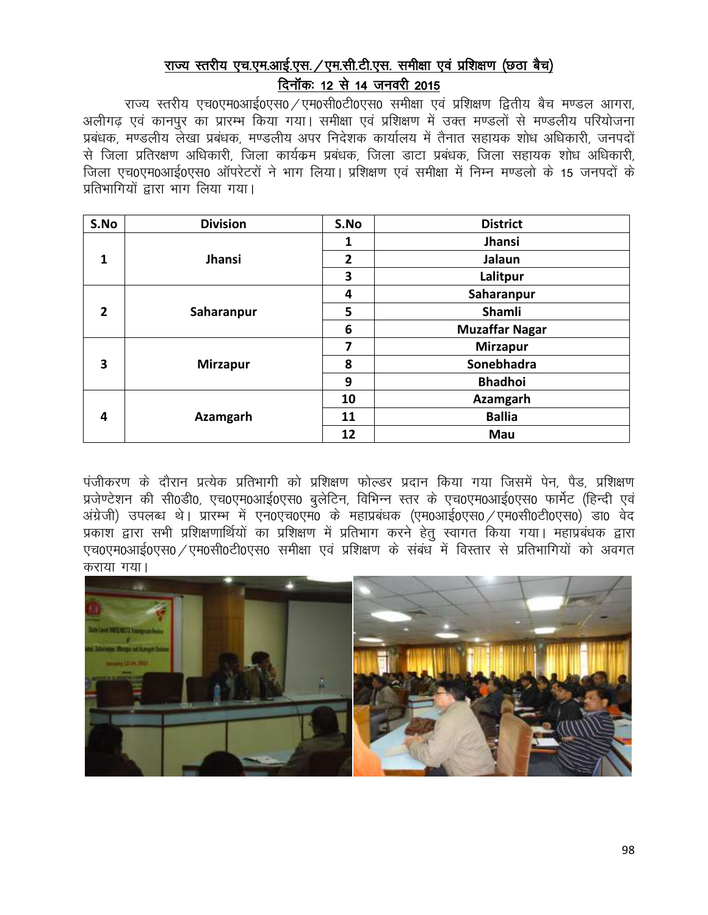## राज्य स्तरीय एच.एम.आई.एस. /एम.सी.टी.एस. समीक्षा एवं प्रशिक्षण (छठा बैच) दिनॉकः 12 से 14 जनवरी 2015

राज्य स्तरीय एच0एम0आई0एस0 / एम0सी0टी0एस0 समीक्षा एवं प्रशिक्षण द्वितीय बैच मण्डल आगरा, अलीगढ एवं कानपुर का प्रारम्भ किया गया। समीक्षा एवं प्रशिक्षण में उक्त मण्डलों से मण्डलीय परियोजना प्रबंधक, मण्डलीय लेखा प्रबंधक, मण्डलीय अपर निदेशक कार्यालय में तैनात सहायक शोध अधिकारी, जनपदों से जिला प्रतिरक्षण अधिकारी. जिला कार्यक्रम प्रबंधक, जिला डाटा प्रबंधक, जिला सहायक शोध अधिकारी. जिला एच0एम0आई0एस0 ऑपरेटरों ने भाग लिया। प्रशिक्षण एवं समीक्षा में निम्न मण्डलो के 15 जनपदों के प्रतिभागियों द्वारा भाग लिया गया।

| S.No                    | <b>Division</b> | S.No           | <b>District</b>       |
|-------------------------|-----------------|----------------|-----------------------|
|                         |                 | 1              | Jhansi                |
| $\mathbf{1}$            | <b>Jhansi</b>   | $\overline{2}$ | Jalaun                |
|                         |                 | 3              | Lalitpur              |
|                         |                 | 4              | Saharanpur            |
| $\overline{2}$          | Saharanpur      | 5              | <b>Shamli</b>         |
|                         |                 | 6              | <b>Muzaffar Nagar</b> |
|                         |                 | 7              | <b>Mirzapur</b>       |
| $\overline{\mathbf{3}}$ | <b>Mirzapur</b> | 8              | Sonebhadra            |
|                         |                 | 9              | <b>Bhadhoi</b>        |
| 4                       |                 | 10             | Azamgarh              |
|                         | <b>Azamgarh</b> | 11             | <b>Ballia</b>         |
|                         |                 | 12             | Mau                   |

पंजीकरण के दौरान प्रत्येक प्रतिभागी को प्रशिक्षण फोल्डर प्रदान किया गया जिसमें पेन, पैड, प्रशिक्षण प्रजेण्टेशन की सी0डी0, एच0एम0आई0एस0 बुलेटिन, विभिन्न स्तर के एच0एम0आई0एस0 फार्मेट (हिन्दी एवं अंग्रेजी) उपलब्ध थे। प्रारम्भ में एन0एच0एम0 के महाप्रबंधक (एम0आई0एस0 /एम0सी0टी0एस0) डा0 वेद प्रकाश द्वारा सभी प्रशिक्षणार्थियों का प्रशिक्षण में प्रतिभाग करने हेतू स्वागत किया गया। महाप्रबंधक द्वारा एच0एम0आई0एस0 / एम0सी0टी0एस0 समीक्षा एवं प्रशिक्षण के संबंध में विस्तार से प्रतिभागियों को अवगत कराया गया।

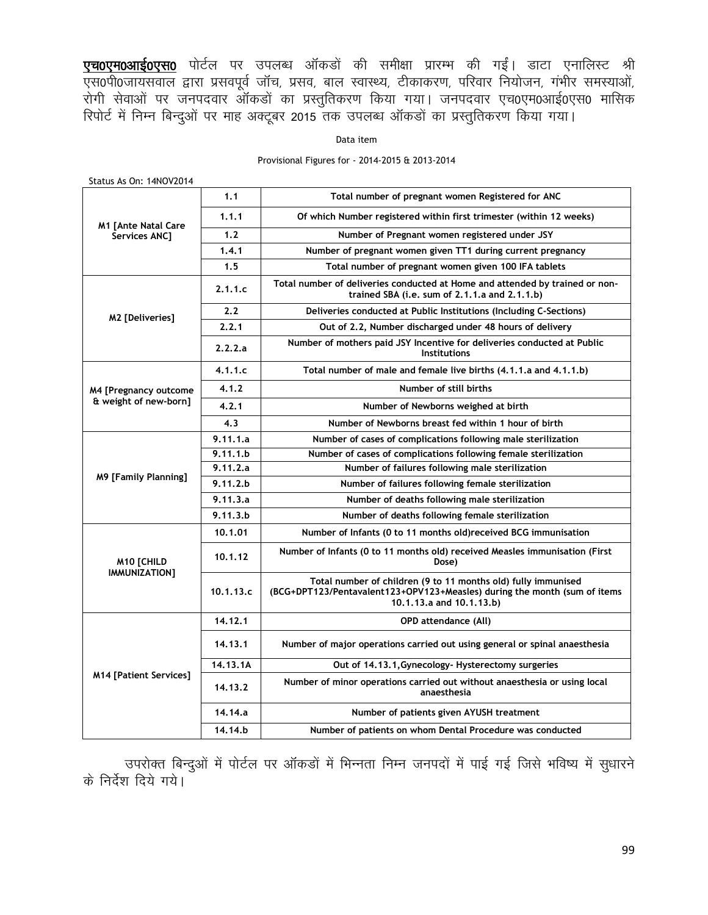<mark>एच0एम0आई0एस0</mark> पोर्टल पर उपलब्ध ऑकडों की समीक्षा प्रारम्भ की गईं। डाटा एनालिस्ट श्री एस0पी0जायसवाल द्वारा प्रसवपूर्व जॉच, प्रसव, बाल स्वास्थ्य, टीकाकरण, परिवार नियोजन, गंभीर समस्याओं, रोगी सेवाओं पर जनपदवार ऑकडों का प्रस्तुतिकरण किया गया। जनपदवार एच0एम0आई0एस0 मासिक रिपोर्ट में निम्न बिन्दुओं पर माह अक्टूबर 2015 तक उपलब्ध ऑकडों का प्रस्तुतिकरण किया गया।

#### Data item

#### Provisional Figures for - 2014-2015 & 2013-2014

| <b>PLALUS AS VII. THIVO YZUT</b>               |           |                                                                                                                                                                        |  |  |
|------------------------------------------------|-----------|------------------------------------------------------------------------------------------------------------------------------------------------------------------------|--|--|
|                                                | 1.1       | Total number of pregnant women Registered for ANC                                                                                                                      |  |  |
|                                                | 1.1.1     | Of which Number registered within first trimester (within 12 weeks)                                                                                                    |  |  |
| <b>M1 [Ante Natal Care</b><br>Services ANC1    | 1.2       | Number of Pregnant women registered under JSY                                                                                                                          |  |  |
|                                                | 1.4.1     | Number of pregnant women given TT1 during current pregnancy                                                                                                            |  |  |
|                                                | 1.5       | Total number of pregnant women given 100 IFA tablets                                                                                                                   |  |  |
|                                                | 2.1.1.c   | Total number of deliveries conducted at Home and attended by trained or non-<br>trained SBA (i.e. sum of 2.1.1.a and 2.1.1.b)                                          |  |  |
| M2 [Deliveries]                                | 2.2       | Deliveries conducted at Public Institutions (Including C-Sections)                                                                                                     |  |  |
|                                                | 2.2.1     | Out of 2.2, Number discharged under 48 hours of delivery                                                                                                               |  |  |
|                                                | 2.2.2.a   | Number of mothers paid JSY Incentive for deliveries conducted at Public<br><b>Institutions</b>                                                                         |  |  |
|                                                | 4.1.1.c   | Total number of male and female live births (4,1,1,a and 4,1,1,b)                                                                                                      |  |  |
| M4 [Pregnancy outcome<br>& weight of new-born] | 4.1.2     | Number of still births                                                                                                                                                 |  |  |
|                                                | 4.2.1     | Number of Newborns weighed at birth                                                                                                                                    |  |  |
|                                                | 4.3       | Number of Newborns breast fed within 1 hour of birth                                                                                                                   |  |  |
|                                                | 9.11.1.a  | Number of cases of complications following male sterilization                                                                                                          |  |  |
|                                                | 9.11.1.b  | Number of cases of complications following female sterilization                                                                                                        |  |  |
|                                                | 9.11.2.a  | Number of failures following male sterilization                                                                                                                        |  |  |
| M9 [Family Planning]                           | 9.11.2.b  | Number of failures following female sterilization                                                                                                                      |  |  |
|                                                | 9.11.3.a  | Number of deaths following male sterilization                                                                                                                          |  |  |
|                                                | 9.11.3.b  | Number of deaths following female sterilization                                                                                                                        |  |  |
|                                                | 10.1.01   | Number of Infants (0 to 11 months old) received BCG immunisation                                                                                                       |  |  |
| <b>M10 [CHILD</b>                              | 10.1.12   | Number of Infants (0 to 11 months old) received Measles immunisation (First<br>Dose)                                                                                   |  |  |
| IMMUNIZATION]                                  | 10.1.13.c | Total number of children (9 to 11 months old) fully immunised<br>(BCG+DPT123/Pentavalent123+OPV123+Measles) during the month (sum of items<br>10.1.13.a and 10.1.13.b) |  |  |
|                                                | 14.12.1   | <b>OPD attendance (All)</b>                                                                                                                                            |  |  |
|                                                | 14.13.1   | Number of major operations carried out using general or spinal anaesthesia                                                                                             |  |  |
|                                                | 14.13.1A  | Out of 14.13.1, Gynecology- Hysterectomy surgeries                                                                                                                     |  |  |
| <b>M14 [Patient Services]</b>                  | 14.13.2   | Number of minor operations carried out without anaesthesia or using local<br>anaesthesia                                                                               |  |  |
|                                                | 14.14.a   | Number of patients given AYUSH treatment                                                                                                                               |  |  |
|                                                | 14.14.b   | Number of patients on whom Dental Procedure was conducted                                                                                                              |  |  |

Status As On: 14NOV2014

उपरोक्त बिन्दुओं में पोर्टल पर ऑकडों में भिन्नता निम्न जनपदों में पाई गई जिसे भविष्य में सुधारने के निर्देश दिये गये।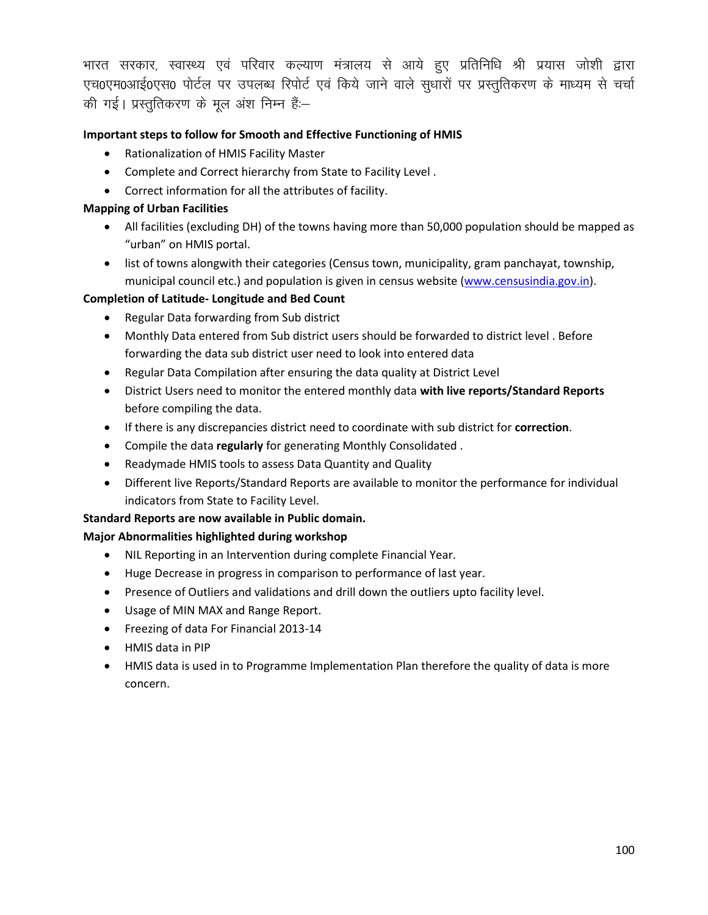भारत सरकार, स्वास्थ्य एवं परिवार कल्याण मंत्रालय से आये हुए प्रतिनिधि श्री प्रयास जोशी द्वारा एच0एम0आई0एस0 पोर्टल पर उपलब्ध रिपोर्ट एवं किये जाने वाले सुधारों पर प्रस्तुतिकरण के माध्यम से चर्चा की गई। प्रस्तुतिकरण के मुल अंश निम्न हैं:-

### **Important steps to follow for Smooth and Effective Functioning of HMIS**

- Rationalization of HMIS Facility Master
- Complete and Correct hierarchy from State to Facility Level .
- Correct information for all the attributes of facility.

#### **Mapping of Urban Facilities**

- All facilities (excluding DH) of the towns having more than 50,000 population should be mapped as "urban" on HMIS portal.
- list of towns alongwith their categories (Census town, municipality, gram panchayat, township, municipal council etc.) and population is given in census website [\(www.censusindia.gov.in\)](http://www.censusindia.gov.in/).

#### **Completion of Latitude- Longitude and Bed Count**

- Regular Data forwarding from Sub district
- Monthly Data entered from Sub district users should be forwarded to district level . Before forwarding the data sub district user need to look into entered data
- Regular Data Compilation after ensuring the data quality at District Level
- District Users need to monitor the entered monthly data **with live reports/Standard Reports** before compiling the data.
- If there is any discrepancies district need to coordinate with sub district for **correction**.
- Compile the data **regularly** for generating Monthly Consolidated .
- Readymade HMIS tools to assess Data Quantity and Quality
- Different live Reports/Standard Reports are available to monitor the performance for individual indicators from State to Facility Level.

#### **Standard Reports are now available in Public domain.**

#### **Major Abnormalities highlighted during workshop**

- NIL Reporting in an Intervention during complete Financial Year.
- Huge Decrease in progress in comparison to performance of last year.
- Presence of Outliers and validations and drill down the outliers upto facility level.
- Usage of MIN MAX and Range Report.
- Freezing of data For Financial 2013-14
- HMIS data in PIP
- HMIS data is used in to Programme Implementation Plan therefore the quality of data is more concern.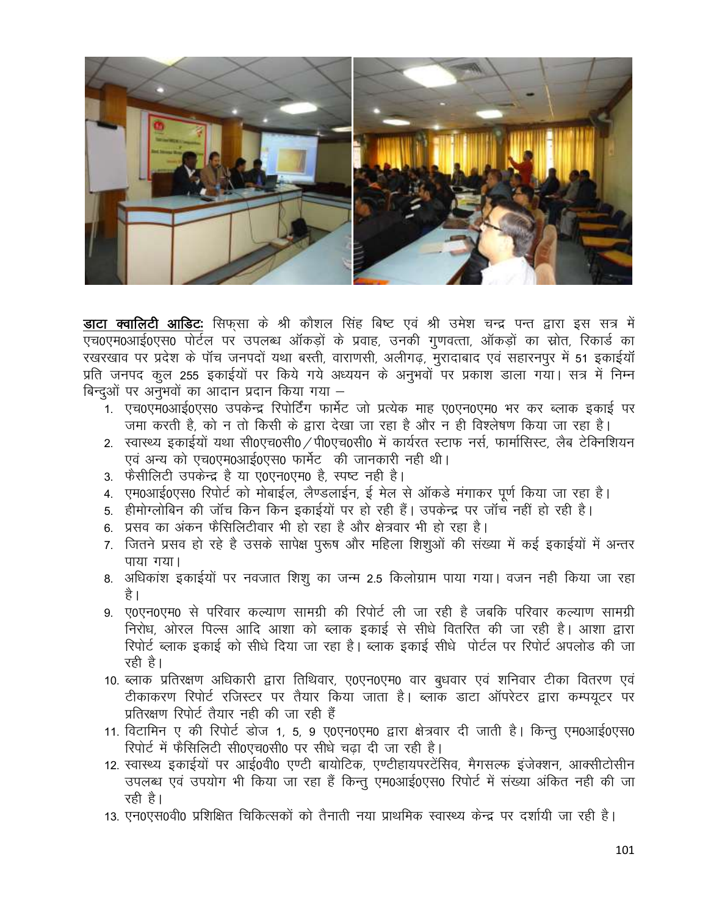

**डाटा क्वालिटी आडिटः** सिफसा के श्री कौशल सिंह बिष्ट एवं श्री उमेश चन्द्र पन्त द्वारा इस सत्र में एच0एम0आई0एस0 पोर्टल पर उपलब्ध ऑकडों के प्रवाह, उनकी गुणवत्ता, ऑकडों का स्रोत, रिकार्ड का रखरखाव पर प्रदेश के पॉच जनपदों यथा बस्ती, वाराणसी, अलीगढ, मुरादाबाद एवं सहारनपुर में 51 इकाईयॉ प्रति जनपद कूल 255 इकाईयों पर किये गये अध्ययन के अनुभवों पर प्रकाश डाला गया। सत्र में निम्न बिन्दुओं पर अनुभवों का आदान प्रदान किया गया –

- .<br>1. एच0एम0आई0एस0 उपकेन्द्र रिपोर्टिंग फार्मेट जो प्रत्येक माह ए0एन0एम0 भर कर ब्लाक इकाई पर जमा करती है, को न तो किसी के द्वारा देखा जा रहा है और न ही विश्लेषण किया जा रहा है।
- 2. स्वास्थ्य इकाईयों यथा सी0एच0सी0 / पी0एच0सी0 में कार्यरत स्टाफ नर्स, फार्मासिस्ट, लैब टेक्निशियन एवं अन्य को एच0एम0आई0एस0 फार्मेट) की जानकारी नही थी।
- 3. फैसीलिटी उपकेन्द्र है या ए0एन0एम0 है, स्पष्ट नही है।
- 4. एम0आई0एस0 रिपोर्ट को मोबाईल, लैण्डलाईन, ई मेल से ऑकडे मंगाकर पूर्ण किया जा रहा है।
- 5. हीमोग्लोबिन की जॉच किन किन इकाईयों पर हो रही हैं। उपकेन्द्र पर जॉच नहीं हो रही है।
- 6. प्रसव का अंकन फैसिलिटीवार भी हो रहा है और क्षेत्रवार भी हो रहा है।
- 7. जितने प्रसव हो रहे है उसके सापेक्ष पुरूष और महिला शिशुओं की संख्या में कई इकाईयों में अन्तर पाया गया।
- 8. अधिकांश इकाईयों पर नवजात शिशू का जन्म 2.5 किलोग्राम पाया गया। वजन नही किया जा रहा है ।
- 9. ए0एन0एम0 से परिवार कल्याण सामग्री की रिपोर्ट ली जा रही है जबकि परिवार कल्याण सामग्री निरोध, ओरल पिल्स आदि आशा को ब्लाक इकाई से सीधे वितरित की जा रही है। आशा द्वारा रिपोर्ट ब्लाक इकाई को सीधे दिया जा रहा है। ब्लाक इकाई सीधे पोर्टल पर रिपोर्ट अपलोड की जा रही है।
- 10. ब्लाक प्रतिरक्षण अधिकारी द्वारा तिथिवार, ए0एन0एम0 वार बुधवार एवं शनिवार टीका वितरण एवं टीकाकरण रिपोर्ट रजिस्टर पर तैयार किया जाता है। ब्लाक डाटा ऑपरेटर द्वारा कम्पयुटर पर प्रतिरक्षण रिपोर्ट तैयार नही की जा रही हैं
- 11. विटामिन ए की रिपोर्ट डोज 1, 5, 9 ए0एन0एम0 द्वारा क्षेत्रवार दी जाती है। किन्तु एम0आई0एस0 रिपोर्ट में फैसिलिटी सी0एच0सी0 पर सीधे चढ़ा दी जा रही है।
- 12. स्वास्थ्य इकाईयों पर आई0वी0 एण्टी बायोटिक, एण्टीहायपरटेंसिव, मैगसल्फ इंजेक्शन, आक्सीटोसीन उपलब्ध एवं उपयोग भी किया जा रहा हैं किन्तू एम0आई0एस0 रिपोर्ट में संख्या अंकित नही की जा रही है।
- 13. एन0एस0वी0 प्रशिक्षित चिकित्सकों को तैनाती नया प्राथमिक स्वास्थ्य केन्द्र पर दर्शायी जा रही है।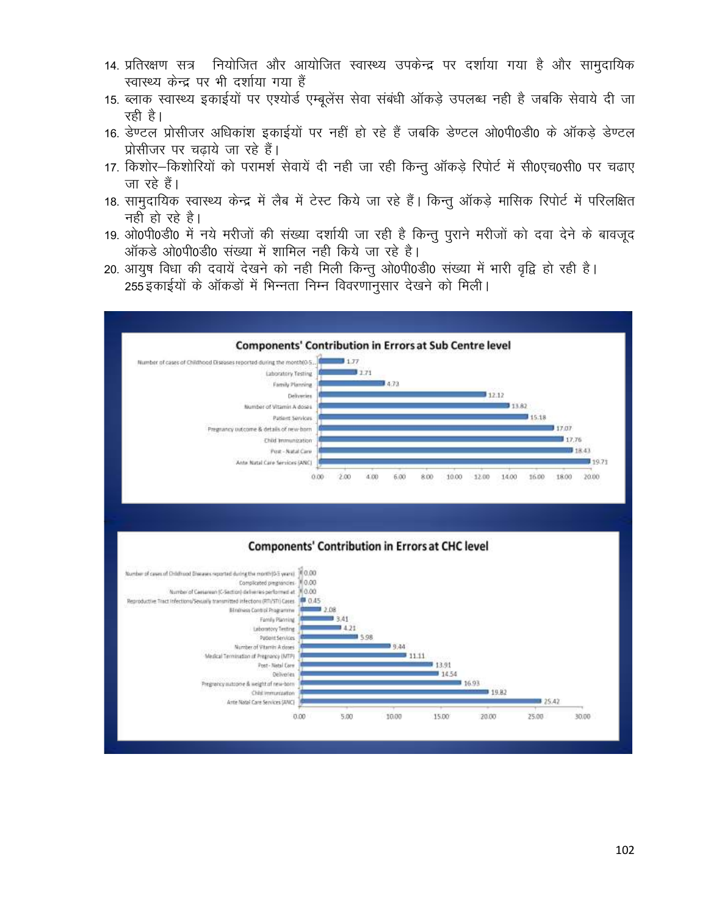- 14. प्रतिरक्षण सत्र नियोजित और आयोजित स्वास्थ्य उपकेन्द्र पर दर्शाया गया है और सामुदायिक स्वास्थ्य केन्द्र पर भी दर्शाया गया हैं
- 15. ब्लाक स्वास्थ्य इकाईयों पर एश्योर्ड एम्बुलेंस सेवा संबंधी ऑकडे उपलब्ध नही है जबकि सेवाये दी जा रही है।
- 16. डेण्टल प्रोसीजर अधिकांश इकाईयों पर नहीं हो रहे हैं जबकि डेण्टल ओ0पी0डी0 के ऑकडे डेण्टल प्रोसीजर पर चढाये जा रहे हैं।
- 17. किशोर–किशोरियों को परामर्श सेवायें दी नही जा रही किन्तु ऑकड़े रिपोर्ट में सी0एच0सी0 पर चढाए जा रहे हैं।
- 18. सामदायिक स्वास्थ्य केन्द्र में लैब में टेस्ट किये जा रहे हैं। किन्तु ऑकड़े मासिक रिपोर्ट में परिलक्षित नही हो रहे है।
- 19. ओ0पी0डी0 में नये मरीजों की संख्या दर्शायी जा रही है किन्तु पुराने मरीजों को दवा देने के बावजूद ऑकड़े ओ0पी0डी0 संख्या में शामिल नही किये जा रहे है।
- 20. आयुष विधा की दवायें देखने को नही मिली किन्तु ओ0पी0डी0 संख्या में भारी वृद्वि हो रही है। 255 इकाईयों के ऑकड़ों में भिन्नता निम्न विवरणानुसार देखने को मिली।

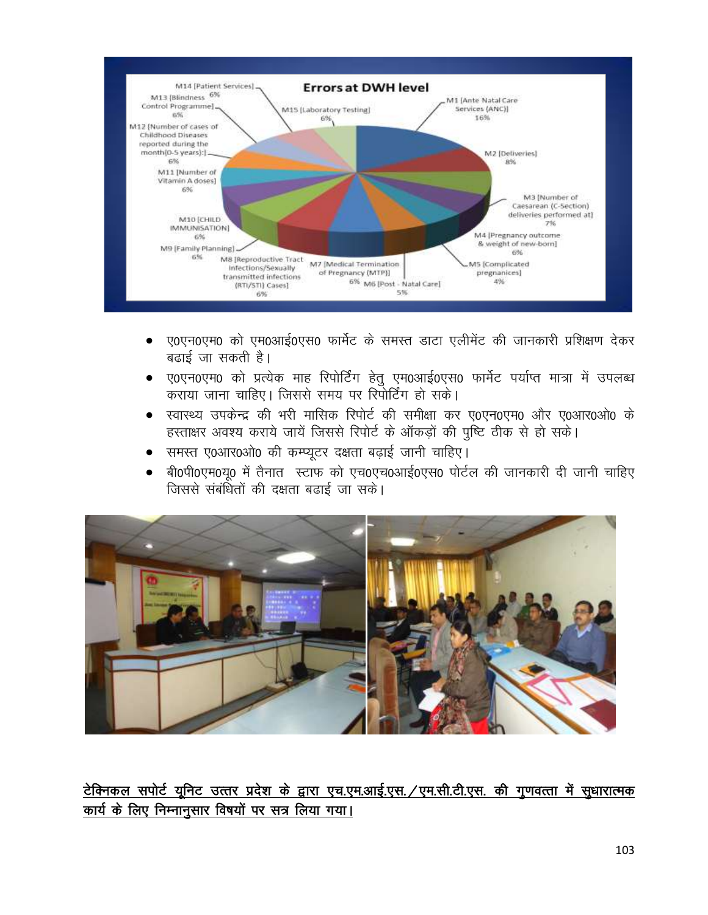

- ए0एन0एम0 को एम0आई0एस0 फार्मेट के समस्त डाटा एलीमेंट की जानकारी प्रशिक्षण देकर  $\bullet$ बढाई जा सकती है।
- ए0एन0एम0 को प्रत्येक माह रिपोर्टिंग हेतु एम0आई0एस0 फार्मेट पर्याप्त मात्रा में उपलब्ध<br>कराया जाना चाहिए। जिससे समय पर रिपोर्टिंग हो सके।  $\bullet$
- स्वास्थ्य उपकेन्द्र की भरी मासिक रिपोर्ट की समीक्षा कर ए0एन0एम0 और ए0आर0ओ0 के हस्ताक्षर अवश्य कराये जायें जिससे रिपोर्ट के ऑकड़ों की पुष्टि ठीक से हो सके।
- समस्त ए0आर0ओ0 की कम्प्यूटर दक्षता बढ़ाई जानी चाहिए।
- बी0पी0एम0यृ0 में तैनात स्टाफ को एच0एच0आई0एस0 पोर्टल की जानकारी दी जानी चाहिए  $\bullet$ जिससे संबंधितों की दक्षता बढाई जा सके।



टेक्निकल सपोर्ट यूनिट उत्तर प्रदेश के द्वारा एच.एम.आई.एस. /एम.सी.टी.एस. की गुणवत्ता में सुधारात्मक कार्य के लिए निम्नानुसार विषयों पर सत्र लिया गया।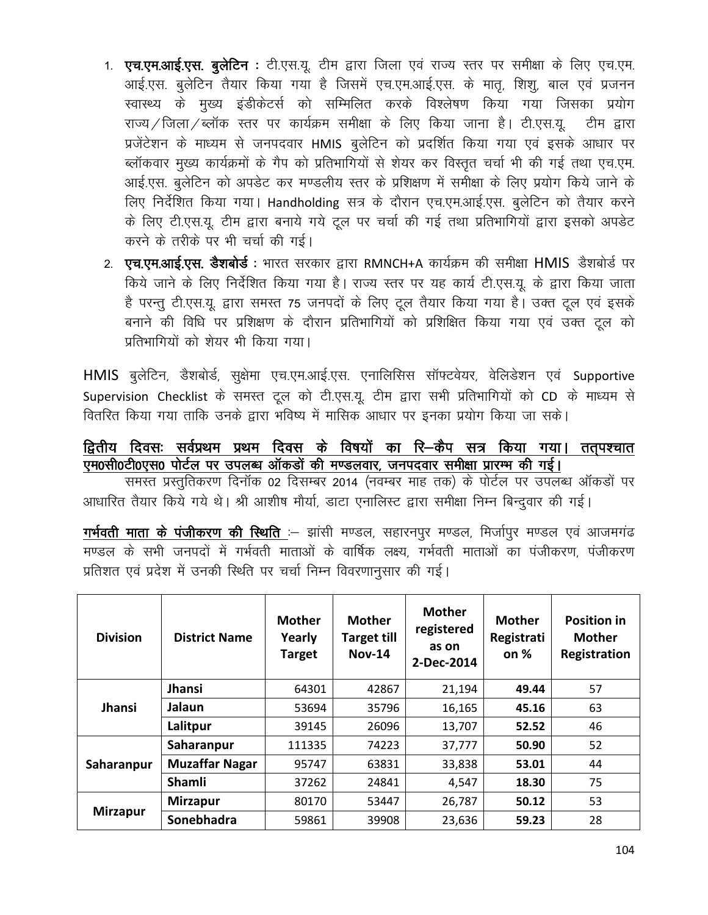- 1. एच.एम.आई.एस. बुलेटिन : टी.एस.यू. टीम द्वारा जिला एवं राज्य स्तर पर समीक्षा के लिए एच.एम. आई.एस. बुलेटिन तैयार किया गया है जिसमें एच.एम.आई.एस. के मातृ, शिशु, बाल एवं प्रजनन स्वास्थ्य के मुख्य इंडीकेटर्स को सम्मिलित करके विश्लेषण किया गया जिसका प्रयोग राज्य / जिला / ब्लॉक स्तर पर कार्यक्रम समीक्षा के लिए किया जाना है। टी.एस.यू. टीम द्वारा प्रजेंटेशन के माध्यम से जनपदवार HMIS बुलेटिन को प्रदर्शित किया गया एवं इसके आधार पर ब्लॉकवार मुख्य कार्यक्रमों के गैप को प्रतिभागियों से शेयर कर विस्तृत चर्चा भी की गई तथा एच.एम. आई.एस. बुलेटिन को अपडेट कर मण्डलीय स्तर के प्रशिक्षण में समीक्षा के लिए प्रयोग किये जाने के लिए निर्देशित किया गया। Handholding सत्र के दौरान एच.एम.आई.एस. बुलेटिन को तैयार करने के लिए टी.एस.यू. टीम द्वारा बनाये गये टूल पर चर्चा की गई तथा प्रतिभागियों द्वारा इसको अपडेट करने के तरीके पर भी चर्चा की गई।
- 2. **एच.एम.आई.एस. डैशबोर्ड** : भारत सरकार द्वारा RMNCH+A कार्यक्रम की समीक्षा **HMIS** डैशबोर्ड पर किये जाने के लिए निर्देशित किया गया है। राज्य स्तर पर यह कार्य टी.एस.यू. के द्वारा किया जाता है परन्तू टी.एस.यू. द्वारा समस्त 75 जनपदों के लिए टूल तैयार किया गया है। उक्त टूल एवं इसके बनाने की विधि पर प्रशिक्षण के दौरान प्रतिभागियों को प्रशिक्षित किया गया एवं उक्त टूल को प्रतिभागियों को शेयर भी किया गया।

HMIS बुलेटिन, डैशबोर्ड, सुक्षेमा एच.एम.आई.एस. एनालिसिस सॉफ्टवेयर, वेलिडेशन एवं Supportive Supervision Checklist के समस्त टूल को टी.एस.यू. टीम द्वारा सभी प्रतिभागियों को CD के माध्यम से वितरित किया गया ताकि उनके द्वारा भविष्य में मासिक आधार पर इनका प्रयोग किया जा सके।

### द्वितीय दिवसः सर्वप्रथम प्रथम दिव<u>स के विषयों का रि–कैप सत्र किया गया। तत् पश्चात</u> एम0सी0टी0एस0 पोर्टल पर उपलब्ध ऑकड़ों की मण्डलवार, जनपदवार समीक्षा प्रारम्भ की गई।

समस्त प्रस्तुतिकरण दिनॉक 02 दिसम्बर 2014 (नवम्बर माह तक) के पोर्टल पर उपलब्ध ऑकडों पर आधारित तैयार किये गये थे। श्री आशीष मौर्या, डाटा एनालिस्ट द्वारा समीक्षा निम्न बिन्द्वार की गई।

गर्भवती माता के पंजीकरण की स्थिति :- झांसी मण्डल, सहारनपुर मण्डल, मिर्जापुर मण्डल एवं आजमगंढ मण्डल के सभी जनपदों में गर्भवती माताओं के वार्षिक लक्ष्य, गर्भवती माताओं का पंजीकरण, पंजीकरण प्रतिशत एवं प्रदेश में उनकी स्थिति पर चर्चा निम्न विवरणानुसार की गई।

| <b>Division</b> | <b>District Name</b>  | <b>Mother</b><br>Yearly<br><b>Target</b> | <b>Mother</b><br><b>Target till</b><br><b>Nov-14</b> | <b>Mother</b><br>registered<br>as on<br>2-Dec-2014 | <b>Mother</b><br>Registrati<br>on $%$ | <b>Position in</b><br><b>Mother</b><br>Registration |
|-----------------|-----------------------|------------------------------------------|------------------------------------------------------|----------------------------------------------------|---------------------------------------|-----------------------------------------------------|
|                 | Jhansi                | 64301                                    | 42867                                                | 21,194                                             | 49.44                                 | 57                                                  |
| <b>Jhansi</b>   | Jalaun                | 53694                                    | 35796                                                | 16,165                                             | 45.16                                 | 63                                                  |
|                 | Lalitpur              | 39145                                    | 26096                                                | 13,707                                             | 52.52                                 | 46                                                  |
|                 | Saharanpur            | 111335                                   | 74223                                                | 37,777                                             | 50.90                                 | 52                                                  |
| Saharanpur      | <b>Muzaffar Nagar</b> | 95747                                    | 63831                                                | 33,838                                             | 53.01                                 | 44                                                  |
|                 | Shamli                | 37262                                    | 24841                                                | 4,547                                              | 18.30                                 | 75                                                  |
| <b>Mirzapur</b> | <b>Mirzapur</b>       | 80170                                    | 53447                                                | 26,787                                             | 50.12                                 | 53                                                  |
|                 | Sonebhadra            | 59861                                    | 39908                                                | 23,636                                             | 59.23                                 | 28                                                  |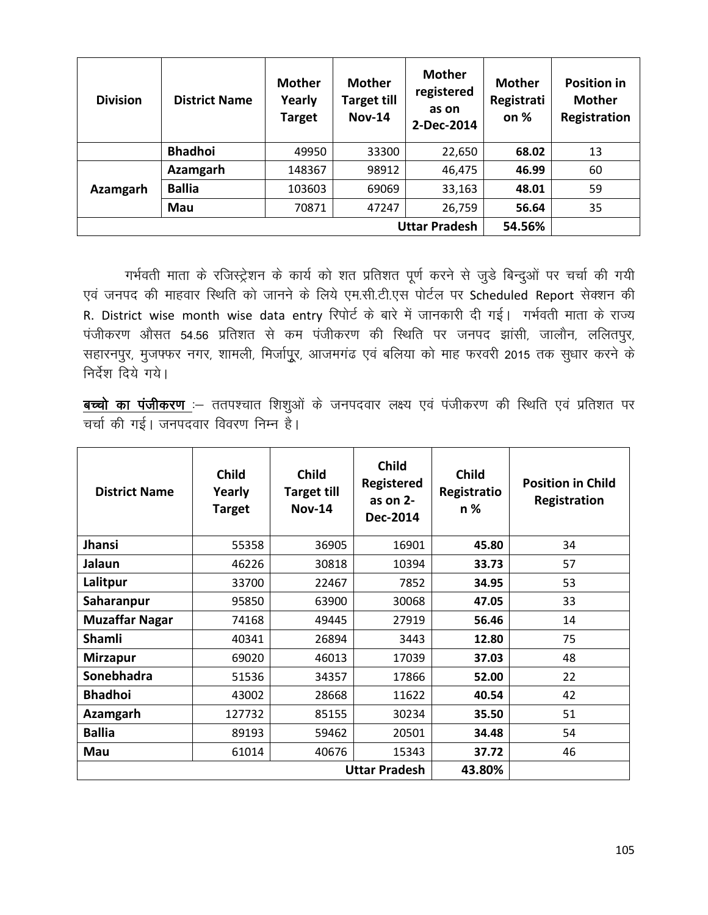| <b>Division</b>      | <b>District Name</b> | <b>Mother</b><br>Yearly<br><b>Target</b> | <b>Mother</b><br><b>Target till</b><br><b>Nov-14</b> | <b>Mother</b><br>registered<br>as on<br>2-Dec-2014 | <b>Mother</b><br>Registrati<br>on % | <b>Position in</b><br><b>Mother</b><br>Registration |
|----------------------|----------------------|------------------------------------------|------------------------------------------------------|----------------------------------------------------|-------------------------------------|-----------------------------------------------------|
|                      | <b>Bhadhoi</b>       | 49950                                    | 33300                                                | 22,650                                             | 68.02                               | 13                                                  |
|                      | Azamgarh             | 148367                                   | 98912                                                | 46,475                                             | 46.99                               | 60                                                  |
| Azamgarh             | <b>Ballia</b>        | 103603                                   | 69069                                                | 33,163                                             | 48.01                               | 59                                                  |
|                      | Mau                  | 70871                                    | 47247                                                | 26,759                                             | 56.64                               | 35                                                  |
| <b>Uttar Pradesh</b> |                      |                                          |                                                      |                                                    |                                     |                                                     |

गर्भवती माता के रजिस्ट्रेशन के कार्य को शत प्रतिशत पूर्ण करने से जुडे बिन्दुओं पर चर्चा की गयी एवं जनपद की माहवार स्थिति को जानने के लिये एम.सी.टी.एस पोर्टल पर Scheduled Report सेक्शन की R. District wise month wise data entry रिपोर्ट के बारे में जानकारी दी गई। गर्भवती माता के राज्य पंजीकरण औसत 54.56 प्रतिशत से कम पंजीकरण की स्थिति पर जनपद झांसी, जालौन, ललितपुर, सहारनपुर, मुजफ्फर नगर, शामली, मिर्जापुूर, आजमगंढ एवं बलिया को माह फरवरी 2015 तक सुधार करने के निर्देश दिये गये।

<mark>बच्चो का पंजीकरण</mark> :– ततपश्चात शिशुओं के जनपदवार लक्ष्य एवं पंजीकरण की स्थिति एवं प्रतिशत पर चर्चा की गई। जनपदवार विवरण निम्न है।

| <b>District Name</b>  | <b>Child</b><br>Yearly<br><b>Target</b> | <b>Child</b><br><b>Target till</b><br><b>Nov-14</b> | <b>Child</b><br><b>Registered</b><br>as on 2-<br>Dec-2014 | <b>Child</b><br>Registratio<br>n % | <b>Position in Child</b><br>Registration |
|-----------------------|-----------------------------------------|-----------------------------------------------------|-----------------------------------------------------------|------------------------------------|------------------------------------------|
| <b>Jhansi</b>         | 55358                                   | 36905                                               | 16901                                                     | 45.80                              | 34                                       |
| Jalaun                | 46226                                   | 30818                                               | 10394                                                     | 33.73                              | 57                                       |
| Lalitpur              | 33700                                   | 22467                                               | 7852                                                      | 34.95                              | 53                                       |
| Saharanpur            | 95850                                   | 63900                                               | 30068                                                     | 47.05                              | 33                                       |
| <b>Muzaffar Nagar</b> | 74168                                   | 49445                                               | 27919                                                     | 56.46                              | 14                                       |
| <b>Shamli</b>         | 40341                                   | 26894                                               | 3443                                                      | 12.80                              | 75                                       |
| <b>Mirzapur</b>       | 69020                                   | 46013                                               | 17039                                                     | 37.03                              | 48                                       |
| Sonebhadra            | 51536                                   | 34357                                               | 17866                                                     | 52.00                              | 22                                       |
| <b>Bhadhoi</b>        | 43002                                   | 28668                                               | 11622                                                     | 40.54                              | 42                                       |
| Azamgarh              | 127732                                  | 85155                                               | 30234                                                     | 35.50                              | 51                                       |
| <b>Ballia</b>         | 89193                                   | 59462                                               | 20501                                                     | 34.48                              | 54                                       |
| Mau                   | 61014                                   | 40676                                               | 15343                                                     | 37.72                              | 46                                       |
|                       |                                         | 43.80%                                              |                                                           |                                    |                                          |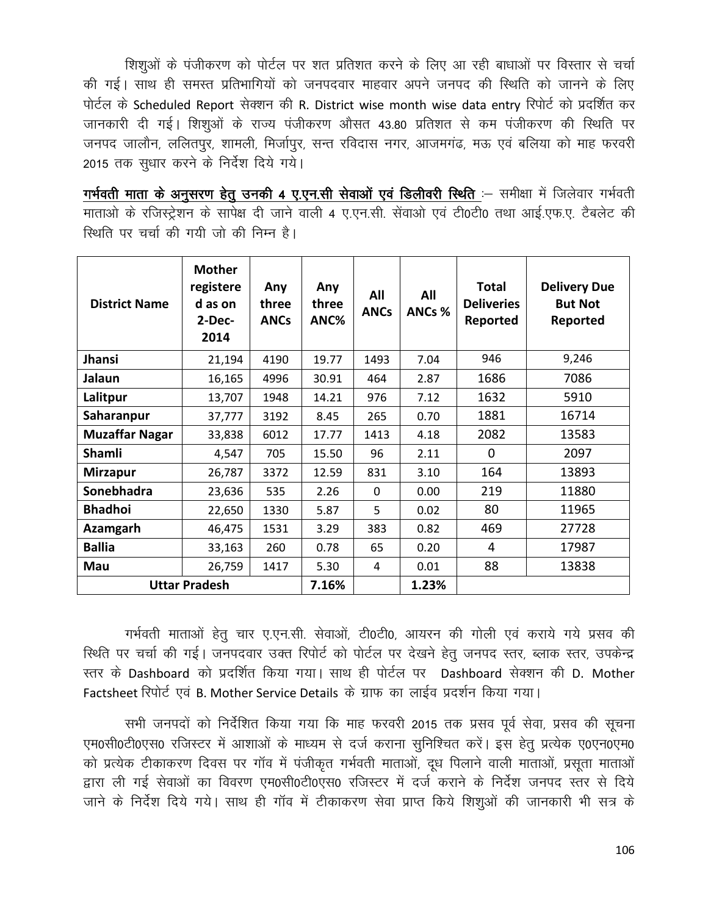शिशुओं के पंजीकरण को पोर्टल पर शत प्रतिशत करने के लिए आ रही बाधाओं पर विस्तार से चर्चा की गई। साथ ही समस्त प्रतिभागियों को जनपदवार माहवार अपने जनपद की स्थिति को जानने के लिए पोर्टल के Scheduled Report सेक्शन की R. District wise month wise data entry रिपोर्ट को प्रदर्शित कर जानकारी दी गई। शिशूओं के राज्य पंजीकरण औसत 43.80 प्रतिशत से कम पंजीकरण की स्थिति पर जनपद जालौन, ललितपुर, शामली, मिर्जापुर, सन्त रविदास नगर, आजमगंढ, मऊ एवं बलिया को माह फरवरी 2015 तक सुधार करने के निर्देश दिये गये।

गर्भवती माता के अनुसरण हेतू उनकी 4 ए.एन.सी सेवाओं एवं डिलीवरी स्थिति :- समीक्षा में जिलेवार गर्भवती माताओं के रजिस्ट्रेशन के सापेक्ष दी जाने वाली 4 ए.एन.सी. सेंवाओं एवं टी0टी0 तथा आई.एफ.ए. टैबलेट की स्थिति पर चर्चा की गयी जो की निम्न है।

| <b>District Name</b>  | <b>Mother</b><br>registere<br>d as on<br>$2-Dec-$<br>2014 | Any<br>three<br><b>ANCs</b> | Any<br>three<br>ANC% | All<br><b>ANCs</b> | All<br>ANCs % | <b>Total</b><br><b>Deliveries</b><br>Reported | <b>Delivery Due</b><br><b>But Not</b><br>Reported |
|-----------------------|-----------------------------------------------------------|-----------------------------|----------------------|--------------------|---------------|-----------------------------------------------|---------------------------------------------------|
| Jhansi                | 21,194                                                    | 4190                        | 19.77                | 1493               | 7.04          | 946                                           | 9,246                                             |
| Jalaun                | 16,165                                                    | 4996                        | 30.91                | 464                | 2.87          | 1686                                          | 7086                                              |
| Lalitpur              | 13,707                                                    | 1948                        | 14.21                | 976                | 7.12          | 1632                                          | 5910                                              |
| Saharanpur            | 37,777                                                    | 3192                        | 8.45                 | 265                | 0.70          | 1881                                          | 16714                                             |
| <b>Muzaffar Nagar</b> | 33,838                                                    | 6012                        | 17.77                | 1413               | 4.18          | 2082                                          | 13583                                             |
| <b>Shamli</b>         | 4,547                                                     | 705                         | 15.50                | 96                 | 2.11          | 0                                             | 2097                                              |
| <b>Mirzapur</b>       | 26,787                                                    | 3372                        | 12.59                | 831                | 3.10          | 164                                           | 13893                                             |
| <b>Sonebhadra</b>     | 23,636                                                    | 535                         | 2.26                 | $\Omega$           | 0.00          | 219                                           | 11880                                             |
| <b>Bhadhoi</b>        | 22,650                                                    | 1330                        | 5.87                 | 5                  | 0.02          | 80                                            | 11965                                             |
| Azamgarh              | 46,475                                                    | 1531                        | 3.29                 | 383                | 0.82          | 469                                           | 27728                                             |
| <b>Ballia</b>         | 33,163                                                    | 260                         | 0.78                 | 65                 | 0.20          | 4                                             | 17987                                             |
| Mau                   | 26,759                                                    | 1417                        | 5.30                 | 4                  | 0.01          | 88                                            | 13838                                             |
| <b>Uttar Pradesh</b>  |                                                           |                             | 7.16%                |                    | 1.23%         |                                               |                                                   |

गर्भवती माताओं हेतू चार ए.एन.सी. सेवाओं, टी0टी0, आयरन की गोली एवं कराये गये प्रसव की स्थिति पर चर्चा की गई। जनपदवार उक्त रिपोर्ट को पोर्टल पर देखने हेत् जनपद स्तर, ब्लाक स्तर, उपकेन्द्र रतर के Dashboard को प्रदर्शित किया गया। साथ ही पोर्टल पर Dashboard सेक्शन की D. Mother Factsheet रिपोर्ट एवं B. Mother Service Details के ग्राफ का लाईव प्रदर्शन किया गया।

सभी जनपदों को निर्देशित किया गया कि माह फरवरी 2015 तक प्रसव पूर्व सेवा, प्रसव की सूचना एम0सी0टी0एस0 रजिस्टर में आशाओं के माध्यम से दर्ज कराना सुनिश्चित करें। इस हेतु प्रत्येक ए0एन0एम0 को प्रत्येक टीकाकरण दिवस पर गॉव में पंजीकृत गर्भवती माताओं, दध पिलाने वाली माताओं, प्रसता माताओं हारा ली गई सेवाओं का विवरण एम0सी0टी0एस0 रजिस्टर में दर्ज कराने के निर्देश जनपद स्तर से दिये जाने के निर्देश दिये गये। साथ ही गॉव में टीकाकरण सेवा प्राप्त किये शिशुओं की जानकारी भी सत्र के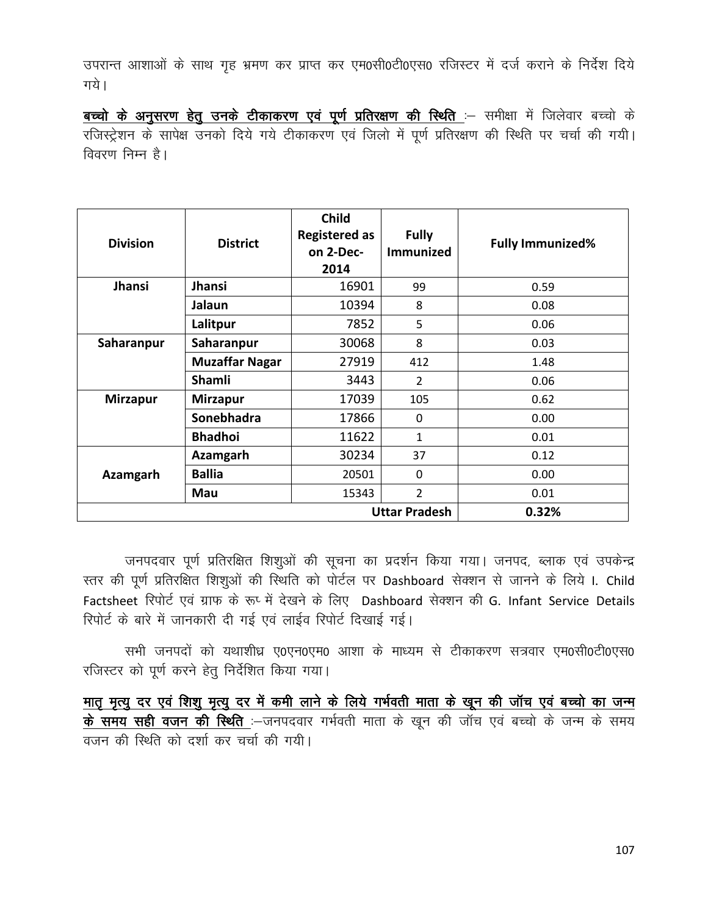उपरान्त आशाओं के साथ गृह भ्रमण कर प्राप्त कर एम0सी0टी0एस0 रजिस्टर में दर्ज कराने के निर्देश दिये गये।

बच्चो के अनुसरण हेतु उनके टीकाकरण एवं पूर्ण प्रतिरक्षण की स्थिति :- समीक्षा में जिलेवार बच्चो के रजिस्ट्रेशन के सापेक्ष उनको दिये गये टीकाकरण एवं जिलो में पूर्ण प्रतिरक्षण की स्थिति पर चर्चा की गयी। विवरण निम्न है।

| <b>Division</b>               | <b>District</b>       | <b>Child</b><br><b>Registered as</b><br>on 2-Dec-<br>2014 | <b>Fully</b><br>Immunized | <b>Fully Immunized%</b> |  |
|-------------------------------|-----------------------|-----------------------------------------------------------|---------------------------|-------------------------|--|
| <b>Jhansi</b>                 | <b>Jhansi</b>         | 16901                                                     | 99                        | 0.59                    |  |
|                               | Jalaun                | 10394                                                     | 8                         | 0.08                    |  |
|                               | Lalitpur              | 7852                                                      | 5                         | 0.06                    |  |
| Saharanpur                    | Saharanpur            | 30068                                                     | 8                         | 0.03                    |  |
|                               | <b>Muzaffar Nagar</b> | 27919                                                     | 412                       | 1.48                    |  |
|                               | <b>Shamli</b>         | 3443                                                      | $\overline{2}$            | 0.06                    |  |
| <b>Mirzapur</b>               | <b>Mirzapur</b>       | 17039                                                     | 105                       | 0.62                    |  |
|                               | <b>Sonebhadra</b>     | 17866                                                     | $\Omega$                  | 0.00                    |  |
|                               | <b>Bhadhoi</b>        | 11622                                                     | $\mathbf{1}$              | 0.01                    |  |
|                               | Azamgarh              | 30234                                                     | 37                        | 0.12                    |  |
| Azamgarh                      | <b>Ballia</b>         | 20501                                                     | $\Omega$                  | 0.00                    |  |
|                               | Mau                   | 15343                                                     | 2                         | 0.01                    |  |
| <b>Uttar Pradesh</b><br>0.32% |                       |                                                           |                           |                         |  |

जनपदवार पूर्ण प्रतिरक्षित शिशुओं की सूचना का प्रदर्शन किया गया। जनपद, ब्लाक एवं उपकेन्द्र स्तर की पूर्ण प्रतिरक्षित शिशुओं की स्थिति को पोर्टल पर Dashboard सेक्शन से जानने के लिये I. Child Factsheet रिपोर्ट एवं ग्राफ के रूप्सें देखने के लिए Dashboard सेक्शन की G. Infant Service Details रिपोर्ट के बारे में जानकारी दी गई एवं लाईव रिपोर्ट दिखाई गई।

सभी जनपदों को यथाशीध्र ए0एन0एम0 आशा के माध्यम से टीकाकरण सत्रवार एम0सी0टी0एस0 रजिस्टर को पूर्ण करने हेतु निर्देशित किया गया।

मात मृत्यु दर एवं शिशु मृत्यु दर में कमी लाने के लिये गर्भवती माता के खून की जॉच एवं बच्चो का जन्म के समय सही वजन की स्थिति :-जनपदवार गर्भवती माता के खून की जॉच एवं बच्चो के जन्म के समय वजन की स्थिति को दर्शा कर चर्चा की गयी।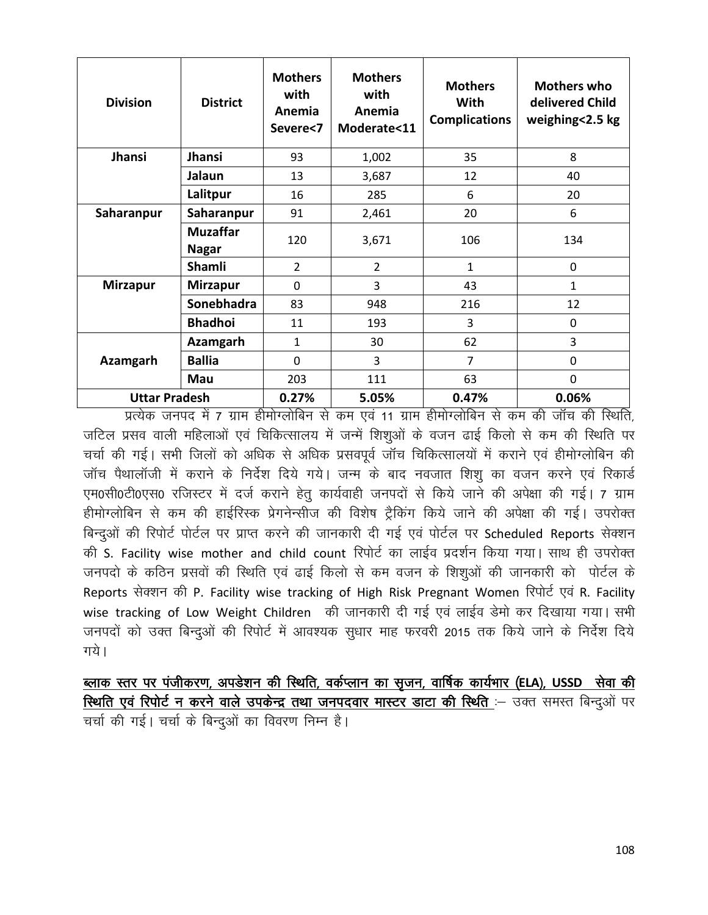| <b>Division</b>      | <b>District</b>                 | <b>Mothers</b><br>with<br>Anemia<br>Severe<7 | <b>Mothers</b><br>with<br>Anemia<br>Moderate<11 | <b>Mothers</b><br><b>With</b><br><b>Complications</b> | <b>Mothers who</b><br>delivered Child<br>weighing<2.5 kg |
|----------------------|---------------------------------|----------------------------------------------|-------------------------------------------------|-------------------------------------------------------|----------------------------------------------------------|
| <b>Jhansi</b>        | Jhansi                          | 93                                           | 1,002                                           | 35                                                    | 8                                                        |
|                      | Jalaun                          | 13                                           | 3,687                                           | 12                                                    | 40                                                       |
|                      | Lalitpur                        | 16                                           | 285                                             | 6                                                     | 20                                                       |
| Saharanpur           | Saharanpur                      | 91                                           | 2,461                                           | 20                                                    | 6                                                        |
|                      | <b>Muzaffar</b><br><b>Nagar</b> | 120                                          | 3,671                                           | 106                                                   | 134                                                      |
|                      | <b>Shamli</b>                   | $\overline{2}$                               | 2                                               | $\mathbf{1}$                                          | $\mathbf{0}$                                             |
| <b>Mirzapur</b>      | <b>Mirzapur</b>                 | $\Omega$                                     | 3                                               | 43                                                    | $\mathbf{1}$                                             |
|                      | <b>Sonebhadra</b>               | 83                                           | 948                                             | 216                                                   | 12                                                       |
|                      | <b>Bhadhoi</b>                  | 11                                           | 193                                             | 3                                                     | $\Omega$                                                 |
|                      | <b>Azamgarh</b>                 | $\mathbf{1}$                                 | 30                                              | 62                                                    | 3                                                        |
| Azamgarh             | <b>Ballia</b>                   | $\Omega$                                     | 3                                               | $\overline{7}$                                        | 0                                                        |
|                      | Mau                             | 203                                          | 111                                             | 63                                                    | $\Omega$                                                 |
| <b>Uttar Pradesh</b> |                                 | 0.27%                                        | 5.05%                                           | 0.47%                                                 | 0.06%                                                    |

प्रत्येक जनपद में 7 ग्राम हीमोग्लोबिन से कम एवं 11 ग्राम हीमोग्लोबिन से कम की जॉच की स्थिति, जटिल प्रसव वाली महिलाओं एवं चिकित्सालय में जन्में शिशुओं के वजन ढाई किलो से कम की स्थिति पर चर्चा की गई। सभी जिलों को अधिक से अधिक प्रसवपूर्व जॉच चिकित्सालयों में कराने एवं हीमोग्लोबिन की जॉच पैथालॉजी में कराने के निर्देश दिये गये। जन्म के बाद नवजात शिशू का वजन करने एवं रिकार्ड एम0सी0टी0एस0 रजिस्टर में दर्ज कराने हेतू कार्यवाही जनपदों से किये जाने की अपेक्षा की गई। 7 ग्राम हीमोग्लोबिन से कम की हाईरिस्क प्रेगनेन्सीज की विशेष ट्रैकिंग किये जाने की अपेक्षा की गई। उपरोक्त बिन्दुओं की रिपोर्ट पोर्टल पर प्राप्त करने की जानकारी दी गई एवं पोर्टल पर Scheduled Reports सेक्शन की S. Facility wise mother and child count रिपोर्ट का लाईव प्रदर्शन किया गया। साथ ही उपरोक्त जनपदो के कठिन प्रसवों की स्थिति एवं ढाई किलो से कम वजन के शिशुओं की जानकारी को पोर्टल के Reports सेक्शन की P. Facility wise tracking of High Risk Pregnant Women रिपोर्ट एवं R. Facility wise tracking of Low Weight Children की जानकारी दी गई एवं लाईव डेमो कर दिखाया गया। सभी जनपदों को उक्त बिन्दुओं की रिपोर्ट में आवश्यक सुधार माह फरवरी 2015 तक किये जाने के निर्देश दिये गये।

ब्लाक स्तर पर पंजीकरण, अपडेशन की स्थिति, वर्कप्लान का सृजन, वार्षिक कार्यभार (ELA), USSD सेवा की स्थिति एवं रिपोर्ट न करने वाले उपकेन्द्र तथा जनपदवार मास्टर डाटा की स्थिति :- उक्त समस्त बिन्दुओं पर चर्चा की गई। चर्चा के बिन्दओं का विवरण निम्न है।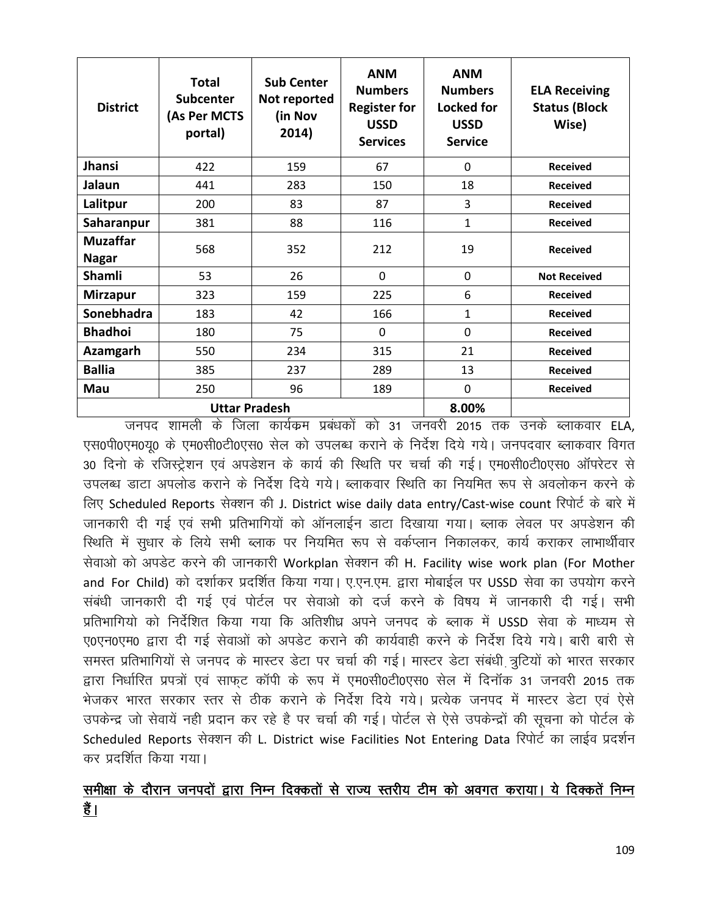| <b>District</b>                 | <b>Total</b><br><b>Subcenter</b><br>(As Per MCTS<br>portal) | <b>Sub Center</b><br>Not reported<br>(in Nov<br>2014) | <b>ANM</b><br><b>Numbers</b><br><b>Register for</b><br><b>USSD</b><br><b>Services</b> | <b>ANM</b><br><b>Numbers</b><br><b>Locked for</b><br><b>USSD</b><br><b>Service</b> | <b>ELA Receiving</b><br><b>Status (Block</b><br>Wise) |
|---------------------------------|-------------------------------------------------------------|-------------------------------------------------------|---------------------------------------------------------------------------------------|------------------------------------------------------------------------------------|-------------------------------------------------------|
| <b>Jhansi</b>                   | 422                                                         | 159                                                   | 67                                                                                    | $\Omega$                                                                           | <b>Received</b>                                       |
| Jalaun                          | 441                                                         | 283                                                   | 150                                                                                   | 18                                                                                 | <b>Received</b>                                       |
| Lalitpur                        | 200                                                         | 83                                                    | 87                                                                                    | 3                                                                                  | <b>Received</b>                                       |
| Saharanpur                      | 381                                                         | 88                                                    | 116                                                                                   | $\mathbf{1}$                                                                       | <b>Received</b>                                       |
| <b>Muzaffar</b><br><b>Nagar</b> | 568                                                         | 352                                                   | 212                                                                                   | 19                                                                                 | <b>Received</b>                                       |
| Shamli                          | 53                                                          | 26                                                    | 0                                                                                     | 0                                                                                  | <b>Not Received</b>                                   |
| <b>Mirzapur</b>                 | 323                                                         | 159                                                   | 225                                                                                   | 6                                                                                  | <b>Received</b>                                       |
| Sonebhadra                      | 183                                                         | 42                                                    | 166                                                                                   | 1                                                                                  | <b>Received</b>                                       |
| <b>Bhadhoi</b>                  | 180                                                         | 75                                                    | $\mathbf 0$                                                                           | $\mathbf 0$                                                                        | <b>Received</b>                                       |
| Azamgarh                        | 550                                                         | 234                                                   | 315                                                                                   | 21                                                                                 | <b>Received</b>                                       |
| <b>Ballia</b>                   | 385                                                         | 237                                                   | 289                                                                                   | 13                                                                                 | <b>Received</b>                                       |
| Mau                             | 250                                                         | 96                                                    | 189                                                                                   | $\mathbf 0$                                                                        | <b>Received</b>                                       |
|                                 | <b>Uttar Pradesh</b>                                        | 8.00%                                                 |                                                                                       |                                                                                    |                                                       |

जनपद शामली के जिला कार्यक्रम प्रबंधकों को 31 जनवरी 2015 तक उनके ब्लाकवार ELA, एस0पी0एम0य0 के एम0सी0टी0एस0 सेल को उपलब्ध कराने के निर्देश दिये गये। जनपदवार ब्लाकवार विगत 30 दिनो के रजिस्ट्रेशन एवं अपडेशन के कार्य की स्थिति पर चर्चा की गई। एम0सी0टी0एस0 ऑपरेटर से उपलब्ध डाटा अपलोड कराने के निर्देश दिये गये। ब्लाकवार स्थिति का नियमित रूप से अवलोकन करने के लिए Scheduled Reports सेक्शन की J. District wise daily data entry/Cast-wise count रिपोर्ट के बारे में जानकारी दी गई एवं सभी प्रतिभागियों को ऑनलाईन डाटा दिखाया गया। ब्लाक लेवल पर अपडेशन की रिथति में सुधार के लिये सभी ब्लाक पर नियमित रूप से वर्कप्लान निकालकर, कार्य कराकर लाभार्थीवार सेवाओ को अपडेट करने की जानकारी Workplan सेक्शन की H. Facility wise work plan (For Mother and For Child) को दर्शाकर प्रदर्शित किया गया। ए.एन.एम. द्वारा मोबाईल पर USSD सेवा का उपयोग करने संबंधी जानकारी दी गई एवं पोर्टल पर सेवाओ को दर्ज करने के विषय में जानकारी दी गई। सभी प्रतिभागियो को निर्देशित किया गया कि अतिशीध्र अपने जनपद के ब्लाक में USSD सेवा के माध्यम से ए0एन0एम0 द्वारा दी गई सेवाओं को अपडेट कराने की कार्यवाही करने के निर्देश दिये गये। बारी बारी से समस्त प्रतिभागियों से जनपद के मास्टर डेटा पर चर्चा की गई। मास्टर डेटा संबंधी त्रुटियों को भारत सरकार द्वारा निर्धारित प्रपत्रों एवं साफट कॉपी के रूप में एम0सी0टी0एस0 सेल में दिनॉक 31 जनवरी 2015 तक भेजकर भारत सरकार स्तर से ठीक कराने के निर्देश दिये गये। प्रत्येक जनपद में मास्टर डेटा एवं ऐसे उपकेन्द्र जो सेवायें नही प्रदान कर रहे है पर चर्चा की गई। पोर्टल से ऐसे उपकेन्द्रों की सूचना को पोर्टल के Scheduled Reports सेक्शन की L. District wise Facilities Not Entering Data रिपोर्ट का लाईव प्रदर्शन कर प्रदर्शित किया गया।

## समीक्षा के दौरान जनपदों द्वारा निम्न दिक्कतों से राज्य स्तरीय टीम को अवगत कराया। ये दिक्कतें निम्न हैं।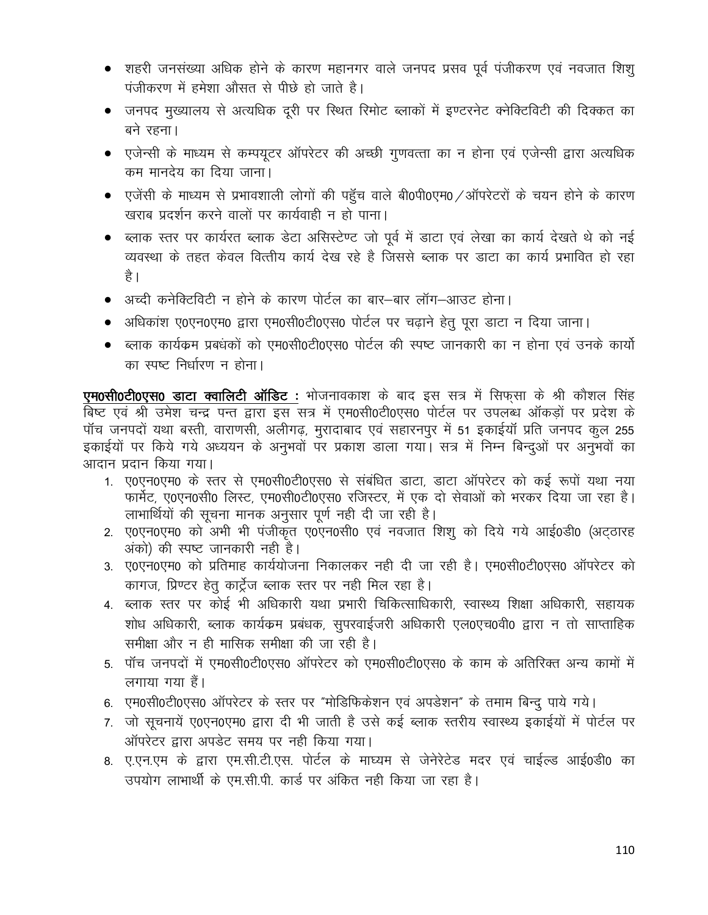- शहरी जनसंख्या अधिक होने के कारण महानगर वाले जनपद प्रसव पूर्व पंजीकरण एवं नवजात शिशु पंजीकरण में हमेशा औसत से पीछे हो जाते है।
- जनपद मुख्यालय से अत्यधिक दुरी पर स्थित रिमोट ब्लाकों में इण्टरनेट क्नेक्टिविटी की दिक्कत का बने रहना।
- एजेन्सी के माध्यम से कम्पयूटर ऑपरेटर की अच्छी गुणवत्ता का न होना एवं एजेन्सी द्वारा अत्यधिक कम मानदेय का दिया जाना।
- एजेंसी के माध्यम से प्रभावशाली लोगों की पहुँच वाले बी0पी0एम0 / ऑपरेटरों के चयन होने के कारण खराब प्रदर्शन करने वालों पर कार्यवाही न हो पाना।
- ब्लाक स्तर पर कार्यरत ब्लाक डेटा असिस्टेण्ट जो पूर्व में डाटा एवं लेखा का कार्य देखते थे को नई व्यवस्था के तहत केवल वित्तीय कार्य देख रहे है जिससे ब्लाक पर डाटा का कार्य प्रभावित हो रहा है ।
- अच्दी कनेक्टिविटी न होने के कारण पोर्टल का बार–बार लॉग–आउट होना।
- अधिकांश ए0एन0एम0 द्वारा एम0सी0टी0एस0 पोर्टल पर चढ़ाने हेतु पूरा डाटा न दिया जाना।
- ब्लाक कार्यक्रम प्रबंधकों को एम0सी0टी0एस0 पोर्टल की स्पष्ट जानकारी का न होना एवं उनके कार्यो का स्पष्ट निर्धारण न होना।

एम0सी0टी0एस0 डाटा क्वालिटी ऑडिट : भोजनावकाश के बाद इस सत्र में सिफसा के श्री कौशल सिंह बिष्ट एवं श्री उमेश चन्द्र पन्त द्वारा इस सत्र में एम0सी0टी0एस0 पोर्टल पर उपलब्ध ऑकड़ों पर प्रदेश के पॉच जनपदों यथा बस्ती, वाराणसी, अलीगढ़, मुरादाबाद एवं सहारनपुर में 51 इकाईयॉ प्रति जनपद कुल 255 इकाईयों पर किये गये अध्ययन के अनुभवों पर प्रकाश डाला गया। सत्र में निम्न बिन्दुओं पर अनुभवों का आदान प्रदान किया गया।

- 1. ए0एन0एम0 के स्तर से एम0सी0टी0एस0 से संबंधित डाटा, डाटा ऑपरेटर को कई रूपों यथा नया फार्मेट, ए0एन0सी0 लिस्ट, एम0सी0टी0एस0 रजिस्टर, में एक दो सेवाओं को भरकर दिया जा रहा है। लाभार्थियों की सूचना मानक अनुसार पूर्ण नही दी जा रही है।
- 2. ए0एन0एम0 को अभी भी पंजीकृत ए0एन0सी0 एवं नवजात शिशु को दिये गये आई0डी0 (अट्ठारह अंको) की स्पष्ट जानकारी नही है।
- 3. ए0एन0एम0 को प्रतिमाह कार्ययोजना निकालकर नही दी जा रही है। एम0सी0टी0एस0 ऑपरेटर को कागज, प्रिण्टर हेतु कार्ट्रेज ब्लाक स्तर पर नही मिल रहा है।
- 4. ब्लाक स्तर पर कोई भी अधिकारी यथा प्रभारी चिकित्साधिकारी, स्वास्थ्य शिक्षा अधिकारी, सहायक शोध अधिकारी, ब्लाक कार्यक्रम प्रबंधक, सुपरवाईजरी अधिकारी एल0एच0वी0 द्वारा न तो साप्ताहिक समीक्षा और न ही मासिक समीक्षा की जा रही है।
- 5. पॉच जनपदों में एम0सी0टी0एस0 ऑपरेटर को एम0सी0टी0एस0 के काम के अतिरिक्त अन्य कामों में लगाया गया हैं।
- 6. एम0सी0टी0एस0 ऑपरेटर के स्तर पर "मोडिफिकेशन एवं अपडेशन" के तमाम बिन्दु पाये गये।
- 7. जो सूचनायें ए0एन0एम0 द्वारा दी भी जाती है उसे कई ब्लाक स्तरीय स्वास्थ्य इकाईयों में पोर्टल पर ऑपरेटर द्वारा अपडेट समय पर नही किया गया।
- 8. ए.एन.एम के द्वारा एम.सी.टी.एस. पोर्टल के माघ्यम से जेनेरेटेड मदर एवं चाईल्ड आई0डी0 का उपयोग लाभार्थी के एम.सी.पी. कार्ड पर अंकित नही किया जा रहा है।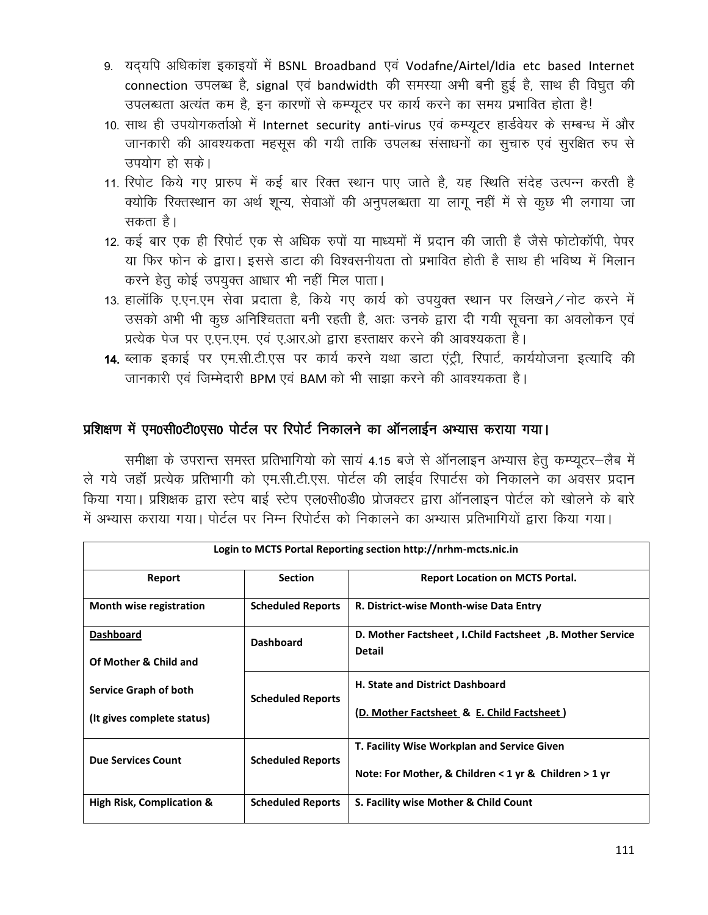- 9. यदयपि अधिकांश इकाइयों में BSNL Broadband एवं Vodafne/Airtel/Idia etc based Internet connection उपलब्ध है, signal एवं bandwidth की समस्या अभी बनी हुई है, साथ ही विघृत की उपलब्धता अत्यंत कम है, इन कारणों से कम्प्यूटर पर कार्य करने का समय प्रभावित होता है!
- 10. साथ ही उपयोगकर्ताओं में Internet security anti-virus एवं कम्प्यूटर हार्डवेयर के सम्बन्ध में और जानकारी की आवश्यकता महसूस की गयी ताकि उपलब्ध संसाधनों का सूचारु एवं सुरक्षित रुप से उपयोग हो सके।
- 11. रिपोट किये गए प्रारुप में कई बार रिक्त स्थान पाए जाते है, यह स्थिति संदेह उत्पन्न करती है क्योकि रिक्तस्थान का अर्थ शून्य, सेवाओं की अनुपलब्धता या लागू नहीं में से कुछ भी लगाया जा सकता है।
- 12. कई बार एक ही रिपोर्ट एक से अधिक रुपों या माध्यमों में प्रदान की जाती है जैसे फोटोकॉपी, पेपर या फिर फोन के द्वारा। इससे डाटा की विश्वसनीयता तो प्रभावित होती है साथ ही भविष्य में मिलान करने हेतु कोई उपयुक्त आधार भी नहीं मिल पाता।
- 13. हालाँकि ए.एन.एम सेवा प्रदाता है, किये गए कार्य को उपयुक्त स्थान पर लिखने / नोट करने में उसको अभी भी कुछ अनिश्चितता बनी रहती है, अतः उनके द्वारा दी गयी सूचना का अवलोकन एवं प्रत्येक पेज पर ए.एन.एम. एवं ए.आर.ओ द्वारा हस्ताक्षर करने की आवश्यकता है।
- 14. ब्लाक इकाई पर एम.सी.टी.एस पर कार्य करने यथा डाटा एंट्री, रिपार्ट, कार्ययोजना इत्यादि की जानकारी एवं जिम्मेदारी BPM एवं BAM को भी साझा करने की आवश्यकता है।

### प्रशिक्षण में एम0सी0टी0एस0 पोर्टल पर रिपोर्ट निकालने का ऑनलाईन अभ्यास कराया गया।

समीक्षा के उपरान्त समस्त प्रतिभागियो को सायं 4.15 बजे से ऑनलाइन अभ्यास हेतु कम्प्यूटर-लैब में ले गये जहाँ प्रत्येक प्रतिभागी को एम.सी.टी.एस. पोर्टल की लाईव रिपार्टस को निकालने का अवसर प्रदान किया गया। प्रशिक्षक द्वारा स्टेप बाई स्टेप एल0सी0डी0 प्रोजक्टर द्वारा ऑनलाइन पोर्टल को खोलने के बारे में अभ्यास कराया गया। पोर्टल पर निम्न रिपोर्टस को निकालने का अभ्यास प्रतिभागियों द्वारा किया गया।

| Login to MCTS Portal Reporting section http://nrhm-mcts.nic.in |                          |                                                           |  |  |
|----------------------------------------------------------------|--------------------------|-----------------------------------------------------------|--|--|
| Report                                                         | <b>Section</b>           | <b>Report Location on MCTS Portal.</b>                    |  |  |
| Month wise registration                                        | <b>Scheduled Reports</b> | R. District-wise Month-wise Data Entry                    |  |  |
| <b>Dashboard</b>                                               | <b>Dashboard</b>         | D. Mother Factsheet, I.Child Factsheet, B. Mother Service |  |  |
| Of Mother & Child and                                          |                          | <b>Detail</b>                                             |  |  |
| <b>Service Graph of both</b>                                   |                          | <b>H. State and District Dashboard</b>                    |  |  |
| (It gives complete status)                                     | <b>Scheduled Reports</b> | (D. Mother Factsheet & E. Child Factsheet)                |  |  |
| <b>Due Services Count</b>                                      |                          | <b>T. Facility Wise Workplan and Service Given</b>        |  |  |
|                                                                | <b>Scheduled Reports</b> | Note: For Mother, & Children $<$ 1 yr & Children $>$ 1 yr |  |  |
| High Risk, Complication &                                      | <b>Scheduled Reports</b> | S. Facility wise Mother & Child Count                     |  |  |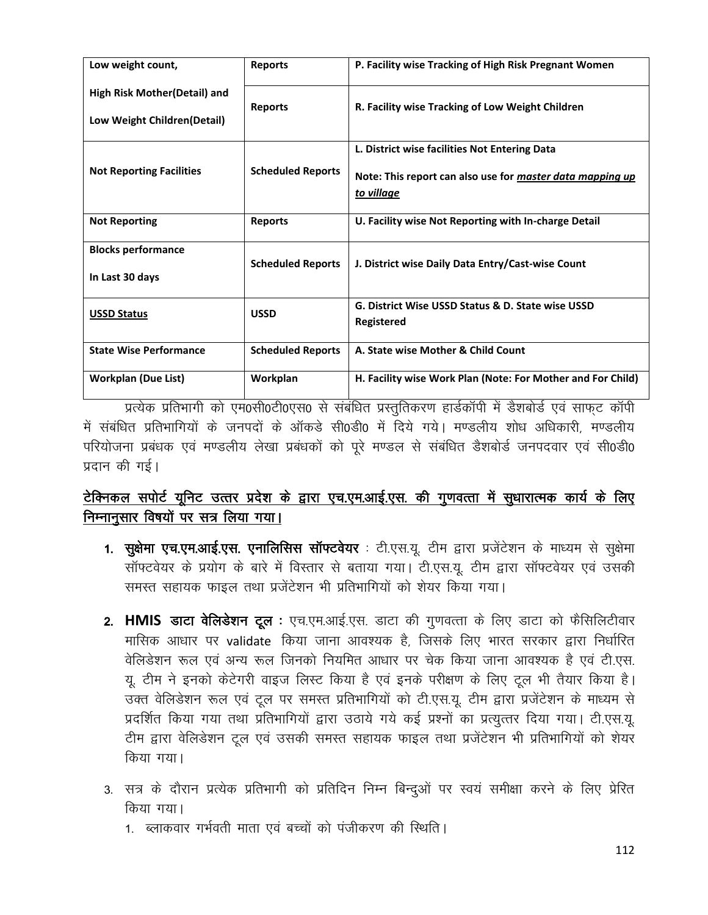| Low weight count,                                                   | <b>Reports</b>           | P. Facility wise Tracking of High Risk Pregnant Women                                                                           |
|---------------------------------------------------------------------|--------------------------|---------------------------------------------------------------------------------------------------------------------------------|
| <b>High Risk Mother (Detail) and</b><br>Low Weight Children(Detail) | <b>Reports</b>           | R. Facility wise Tracking of Low Weight Children                                                                                |
| <b>Not Reporting Facilities</b>                                     | <b>Scheduled Reports</b> | L. District wise facilities Not Entering Data<br>Note: This report can also use for master data mapping up<br><u>to village</u> |
| <b>Not Reporting</b>                                                | <b>Reports</b>           | U. Facility wise Not Reporting with In-charge Detail                                                                            |
| <b>Blocks performance</b><br>In Last 30 days                        | <b>Scheduled Reports</b> | J. District wise Daily Data Entry/Cast-wise Count                                                                               |
| <b>USSD Status</b>                                                  | <b>USSD</b>              | G. District Wise USSD Status & D. State wise USSD<br>Registered                                                                 |
| <b>State Wise Performance</b>                                       | <b>Scheduled Reports</b> | A. State wise Mother & Child Count                                                                                              |
| <b>Workplan (Due List)</b>                                          | Workplan                 | H. Facility wise Work Plan (Note: For Mother and For Child)                                                                     |

प्रत्येक प्रतिभागी को एम0सी0टी0एस0 से संबंधित प्रस्तुतिकरण हार्डकॉपी में डैशबोर्ड एवं साफुट कॉपी में संबंधित प्रतिभागियों के जनपदों के ऑकडे सी0डी0 में दिये गये। मण्डलीय शोध अधिकारी, मण्डलीय परियोजना प्रबंधक एवं मण्डलीय लेखा प्रबंधकों को पूरे मण्डल से संबंधित डैशबोर्ड जनपदवार एवं सी0डी0 प्रदान की गई।

# टेक्निकल सपोर्ट यूनिट उत्तर प्रदेश के द्वारा एच.एम.आई.एस. की गुणवत्ता में सुधारात्मक कार्य के लिए निम्नानूसार विषयों पर सत्र लिया गया।

- 1. सुक्षेमा एच.एम.आई.एस. एनालिसिस सॉफ्टवेयर : टी.एस.यू. टीम द्वारा प्रजेंटेशन के माध्यम से सुक्षेमा सॉफ्टवेयर के प्रयोग के बारे में विस्तार से बताया गया। टी.एस.यू. टीम द्वारा सॉफ्टवेयर एवं उसकी समस्त सहायक फाइल तथा प्रजेंटेशन भी प्रतिभागियों को शेयर किया गया।
- 2. HMIS डाटा वेलिडेशन टूल : एच.एम.आई.एस. डाटा की गुणवत्ता के लिए डाटा को फैसिलिटीवार मासिक आधार पर validate किया जाना आवश्यक है, जिसके लिए भारत सरकार द्वारा निर्धारित वेलिडेशन रूल एवं अन्य रूल जिनको नियमित आधार पर चेक किया जाना आवश्यक है एवं टी.एस. यू. टीम ने इनको केटेगरी वाइज लिस्ट किया है एवं इनके परीक्षण के लिए टूल भी तैयार किया है। उक्त वेलिडेशन रूल एवं टूल पर समस्त प्रतिभागियों को टी.एस.यू. टीम द्वारा प्रजेंटेशन के माध्यम से प्रदर्शित किया गया तथा प्रतिभागियों द्वारा उठाये गये कई प्रश्नों का प्रत्युत्तर दिया गया। टी.एस.यू. टीम द्वारा वेलिडेशन टूल एवं उसकी समस्त सहायक फाइल तथा प्रजेंटेशन भी प्रतिभागियों को शेयर किया गया।
- 3. सत्र के दौरान प्रत्येक प्रतिभागी को प्रतिदिन निम्न बिन्दुओं पर स्वयं समीक्षा करने के लिए प्रेरित किया गया।
	- 1. ब्लाकवार गर्भवती माता एवं बच्चों को पंजीकरण की स्थिति।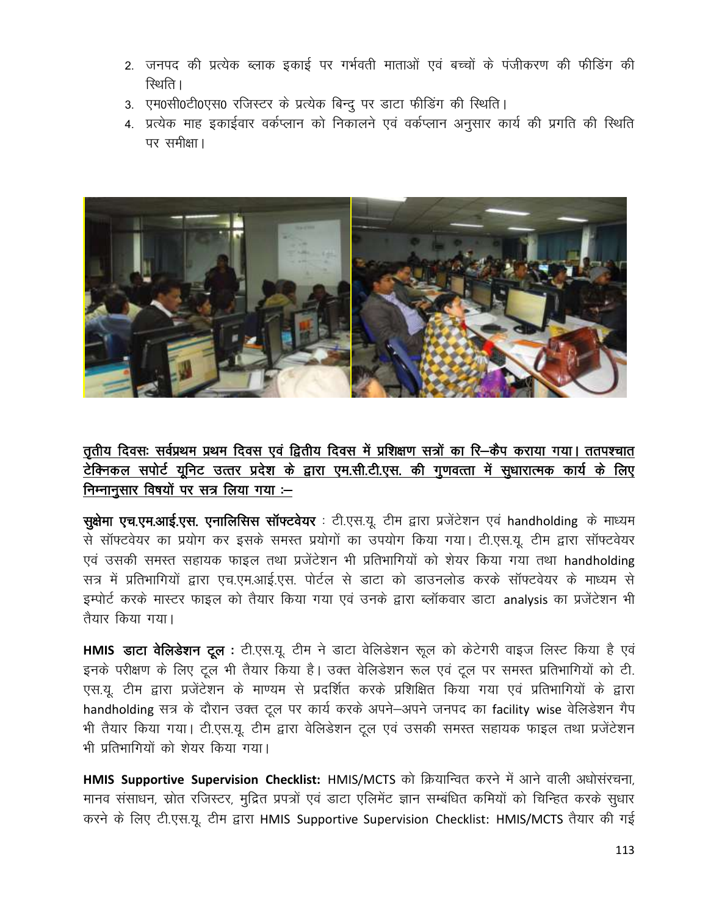- 2. जनपद की प्रत्येक ब्लाक इकाई पर गर्भवती माताओं एवं बच्चों के पंजीकरण की फीडिंग की रिथति ।
- 3. एम0सी0टी0एस0 रजिस्टर के प्रत्येक बिन्दु पर डाटा फीडिंग की स्थिति।
- 4. प्रत्येक माह इकाईवार वर्कप्लान को निकालने एवं वर्कप्लान अनुसार कार्य की प्रगति की स्थिति पर समीक्षा।



तृतीय दिवसः सर्वप्रथम प्रथम दिवस एवं द्वितीय दिवस में प्रशिक्षण सत्रों का रि–कैप कराया गया। ततपश्चात टेक्निकल सपोर्ट यूनिट उत्तर प्रदेश के द्वारा एम.सी.टी.एस. की गुणवत्ता में सुधारात्मक कार्य के लिए निम्नानुसार विषयों पर सत्र लिया गया :-

सुक्षेमा एच.एम.आई.एस. एनालिसिस सॉफ्टवेयर : टी.एस.यू. टीम द्वारा प्रजेंटेशन एवं handholding के माध्यम से सॉफ्टवेयर का प्रयोग कर इसके समस्त प्रयोगों का उपयोग किया गया। टी.एस.यू. टीम द्वारा सॉफ्टवेयर एवं उसकी समस्त सहायक फाइल तथा प्रजेंटेशन भी प्रतिभागियों को शेयर किया गया तथा handholding सत्र में प्रतिभागियों द्वारा एच.एम.आई.एस. पोर्टल से डाटा को डाउनलोड करके सॉफ्टवेयर के माध्यम से इम्पोर्ट करके मास्टर फाइल को तैयार किया गया एवं उनके द्वारा ब्लॉकवार डाटा analysis का प्रजेंटेशन भी तैयार किया गया।

HMIS डाटा वेलिडेशन टूल : टी.एस.यू. टीम ने डाटा वेलिडेशन रूल को केटेगरी वाइज लिस्ट किया है एवं इनके परीक्षण के लिए टूल भी तैयार किया है। उक्त वेलिडेशन रूल एवं टूल पर समस्त प्रतिभागियों को टी. एस.यू. टीम द्वारा प्रजेंटेशन के माण्यम से प्रदर्शित करके प्रशिक्षित किया गया एवं प्रतिभागियों के द्वारा handholding सत्र के दौरान उक्त टूल पर कार्य करके अपने-अपने जनपद का facility wise वेलिडेशन गैप भी तैयार किया गया। टी.एस.यू. टीम द्वारा वेलिडेशन टूल एवं उसकी समस्त सहायक फाइल तथा प्रजेंटेशन भी पतिभागियों को शेयर किया गया।

HMIS Supportive Supervision Checklist: HMIS/MCTS को क्रियान्वित करने में आने वाली अधोसंरचना. मानव संसाधन, स्रोत रजिस्टर, मुद्रित प्रपत्रों एवं डाटा एलिमेंट ज्ञान सम्बंधित कमियों को चिन्हित करके सुधार करने के लिए टी.एस.यू. टीम द्वारा HMIS Supportive Supervision Checklist: HMIS/MCTS तैयार की गई